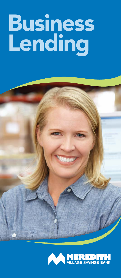# **Business** Lending



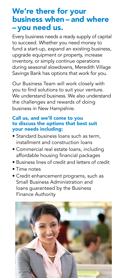# We're there for your business when – and where – you need us.

Every business needs a ready supply of capital to succeed. Whether you need money to fund a start-up, expand an existing business, upgrade equipment or property, increase inventory, or simply continue operations during seasonal slowdowns, Meredith Village Savings Bank has options that work for you.

Our Business Team will work closely with you to find solutions to suit your venture. We understand business. We also understand the challenges and rewards of doing business in New Hampshire.

## Call us, and we'll come to you to discuss the options that best suit your needs including:

- Standard business loans such as term, installment and construction loans
- Commercial real estate loans, including affordable housing financial packages
- Business lines of credit and letters of credit
- Time notes
- Credit enhancement programs, such as Small Business Administration and loans guaranteed by the Business Finance Authority

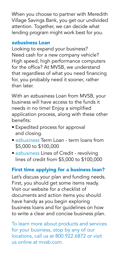When you choose to partner with Meredith Village Savings Bank, you get our undivided attention. Together, we can decide what lending program might work best for you.

## *ezbusiness* Loan

Looking to expand your business? Need cash for a new company vehicle? High speed, high performance computers for the office? At MVSB, we understand that regardless of what you need financing for, you probably need it sooner, rather than later.

With an *ezbusiness* Loan from MVSB, your business will have access to the funds it needs in no time! Enjoy a simplified application process, along with these other benefits:

- Expedited process for approval and closing.
- *ezbusiness* Term Loan term loans from \$5,000 to \$100,000
- *ezbusiness* Lines of Credit revolving lines of credit from \$5,000 to \$100,000

# First time applying for a business loan?

Let's discuss your plan and funding needs. First, you should get some items ready. Visit our website for a checklist of documents and action items you should have handy as you begin exploring business loans and for guidelines on how to write a clear and concise business plan.

To learn more about products and services for your business, stop by any of our locations, call us at 800.922.6872 or visit us online at mvsb.com.